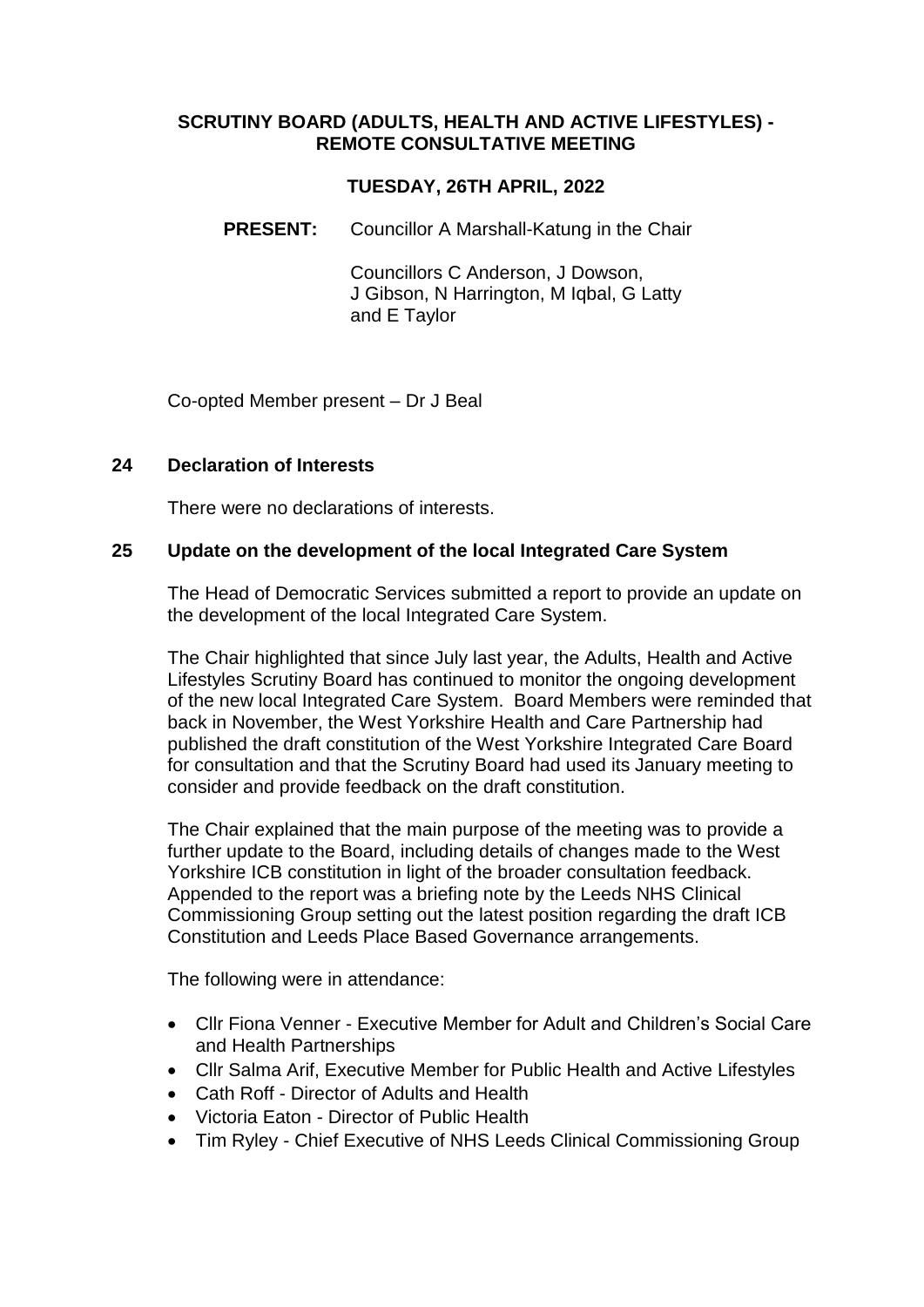## **SCRUTINY BOARD (ADULTS, HEALTH AND ACTIVE LIFESTYLES) - REMOTE CONSULTATIVE MEETING**

## **TUESDAY, 26TH APRIL, 2022**

**PRESENT:** Councillor A Marshall-Katung in the Chair

Councillors C Anderson, J Dowson, J Gibson, N Harrington, M Iqbal, G Latty and E Taylor

Co-opted Member present – Dr J Beal

#### **24 Declaration of Interests**

There were no declarations of interests.

#### **25 Update on the development of the local Integrated Care System**

The Head of Democratic Services submitted a report to provide an update on the development of the local Integrated Care System.

The Chair highlighted that since July last year, the Adults, Health and Active Lifestyles Scrutiny Board has continued to monitor the ongoing development of the new local Integrated Care System. Board Members were reminded that back in November, the West Yorkshire Health and Care Partnership had published the draft constitution of the West Yorkshire Integrated Care Board for consultation and that the Scrutiny Board had used its January meeting to consider and provide feedback on the draft constitution.

The Chair explained that the main purpose of the meeting was to provide a further update to the Board, including details of changes made to the West Yorkshire ICB constitution in light of the broader consultation feedback. Appended to the report was a briefing note by the Leeds NHS Clinical Commissioning Group setting out the latest position regarding the draft ICB Constitution and Leeds Place Based Governance arrangements.

The following were in attendance:

- Cllr Fiona Venner Executive Member for Adult and Children's Social Care and Health Partnerships
- Cllr Salma Arif, Executive Member for Public Health and Active Lifestyles
- Cath Roff Director of Adults and Health
- Victoria Eaton Director of Public Health
- Tim Ryley Chief Executive of NHS Leeds Clinical Commissioning Group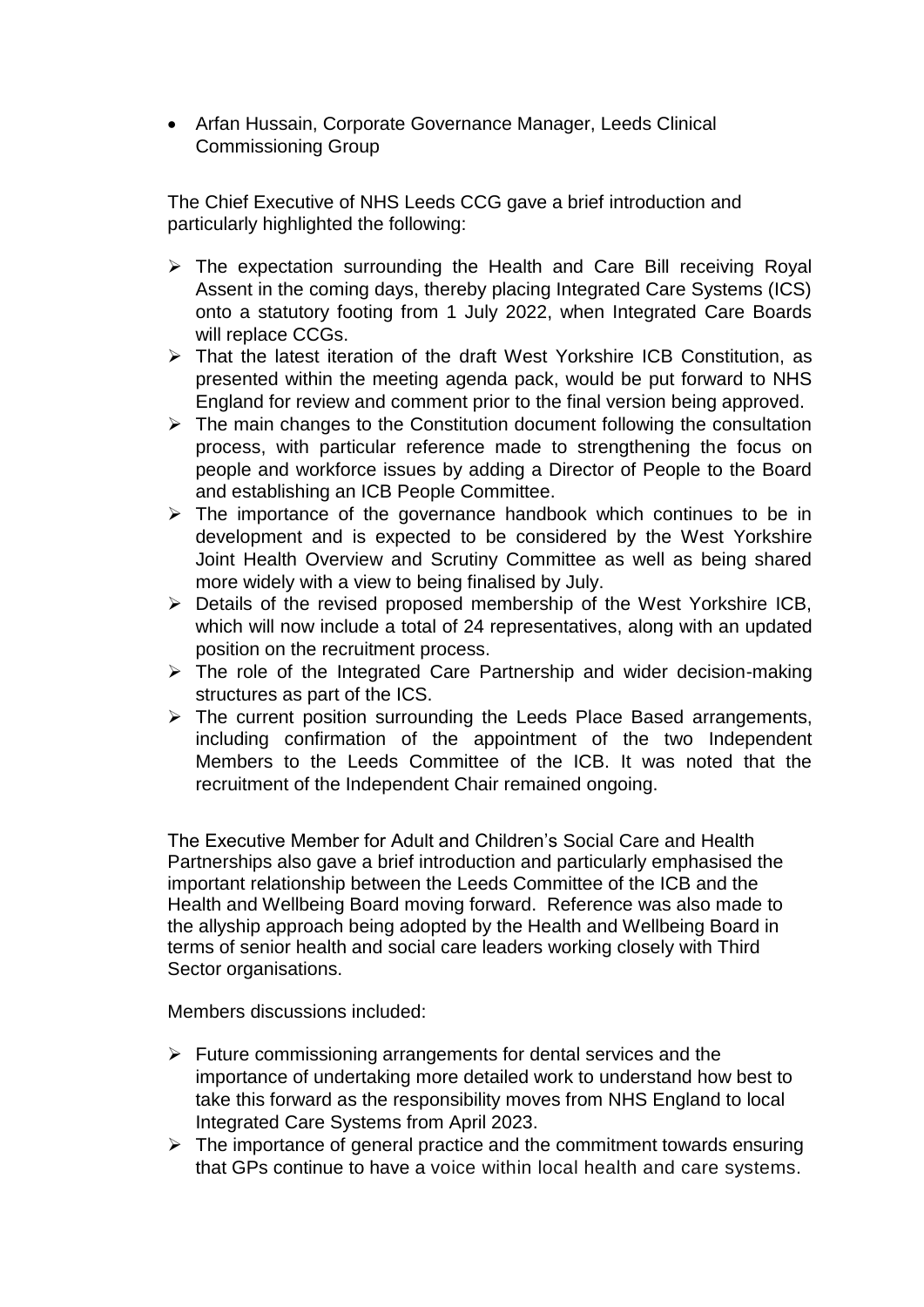• Arfan Hussain, Corporate Governance Manager, Leeds Clinical Commissioning Group

The Chief Executive of NHS Leeds CCG gave a brief introduction and particularly highlighted the following:

- $\triangleright$  The expectation surrounding the Health and Care Bill receiving Royal Assent in the coming days, thereby placing Integrated Care Systems (ICS) onto a statutory footing from 1 July 2022, when Integrated Care Boards will replace CCGs.
- That the latest iteration of the draft West Yorkshire ICB Constitution, as presented within the meeting agenda pack, would be put forward to NHS England for review and comment prior to the final version being approved.
- $\triangleright$  The main changes to the Constitution document following the consultation process, with particular reference made to strengthening the focus on people and workforce issues by adding a Director of People to the Board and establishing an ICB People Committee.
- $\triangleright$  The importance of the governance handbook which continues to be in development and is expected to be considered by the West Yorkshire Joint Health Overview and Scrutiny Committee as well as being shared more widely with a view to being finalised by July.
- $\triangleright$  Details of the revised proposed membership of the West Yorkshire ICB, which will now include a total of 24 representatives, along with an updated position on the recruitment process.
- $\triangleright$  The role of the Integrated Care Partnership and wider decision-making structures as part of the ICS.
- $\triangleright$  The current position surrounding the Leeds Place Based arrangements, including confirmation of the appointment of the two Independent Members to the Leeds Committee of the ICB. It was noted that the recruitment of the Independent Chair remained ongoing.

The Executive Member for Adult and Children's Social Care and Health Partnerships also gave a brief introduction and particularly emphasised the important relationship between the Leeds Committee of the ICB and the Health and Wellbeing Board moving forward. Reference was also made to the allyship approach being adopted by the Health and Wellbeing Board in terms of senior health and social care leaders working closely with Third Sector organisations.

Members discussions included:

- $\triangleright$  Future commissioning arrangements for dental services and the importance of undertaking more detailed work to understand how best to take this forward as the responsibility moves from NHS England to local Integrated Care Systems from April 2023.
- $\triangleright$  The importance of general practice and the commitment towards ensuring that GPs continue to have a voice within local health and care systems.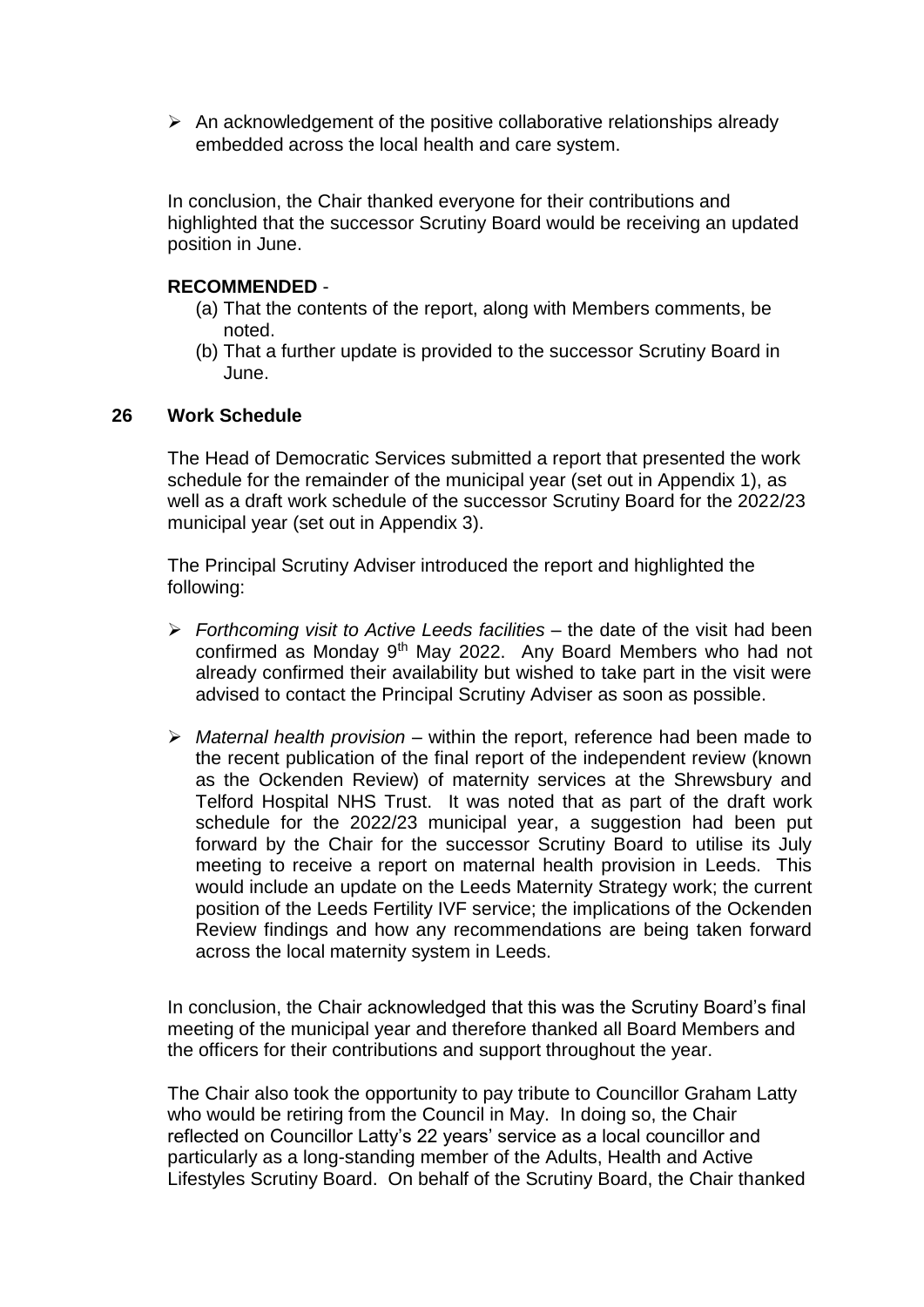$\triangleright$  An acknowledgement of the positive collaborative relationships already embedded across the local health and care system.

In conclusion, the Chair thanked everyone for their contributions and highlighted that the successor Scrutiny Board would be receiving an updated position in June.

## **RECOMMENDED** -

- (a) That the contents of the report, along with Members comments, be noted.
- (b) That a further update is provided to the successor Scrutiny Board in June.

## **26 Work Schedule**

The Head of Democratic Services submitted a report that presented the work schedule for the remainder of the municipal year (set out in Appendix 1), as well as a draft work schedule of the successor Scrutiny Board for the 2022/23 municipal year (set out in Appendix 3).

The Principal Scrutiny Adviser introduced the report and highlighted the following:

- *Forthcoming visit to Active Leeds facilities*  the date of the visit had been confirmed as Monday 9<sup>th</sup> May 2022. Any Board Members who had not already confirmed their availability but wished to take part in the visit were advised to contact the Principal Scrutiny Adviser as soon as possible.
- *Maternal health provision* within the report, reference had been made to the recent publication of the final report of the independent review (known as the Ockenden Review) of maternity services at the Shrewsbury and Telford Hospital NHS Trust. It was noted that as part of the draft work schedule for the 2022/23 municipal year, a suggestion had been put forward by the Chair for the successor Scrutiny Board to utilise its July meeting to receive a report on maternal health provision in Leeds. This would include an update on the Leeds Maternity Strategy work; the current position of the Leeds Fertility IVF service; the implications of the Ockenden Review findings and how any recommendations are being taken forward across the local maternity system in Leeds.

In conclusion, the Chair acknowledged that this was the Scrutiny Board's final meeting of the municipal year and therefore thanked all Board Members and the officers for their contributions and support throughout the year.

The Chair also took the opportunity to pay tribute to Councillor Graham Latty who would be retiring from the Council in May. In doing so, the Chair reflected on Councillor Latty's 22 years' service as a local councillor and particularly as a long-standing member of the Adults, Health and Active Lifestyles Scrutiny Board. On behalf of the Scrutiny Board, the Chair thanked